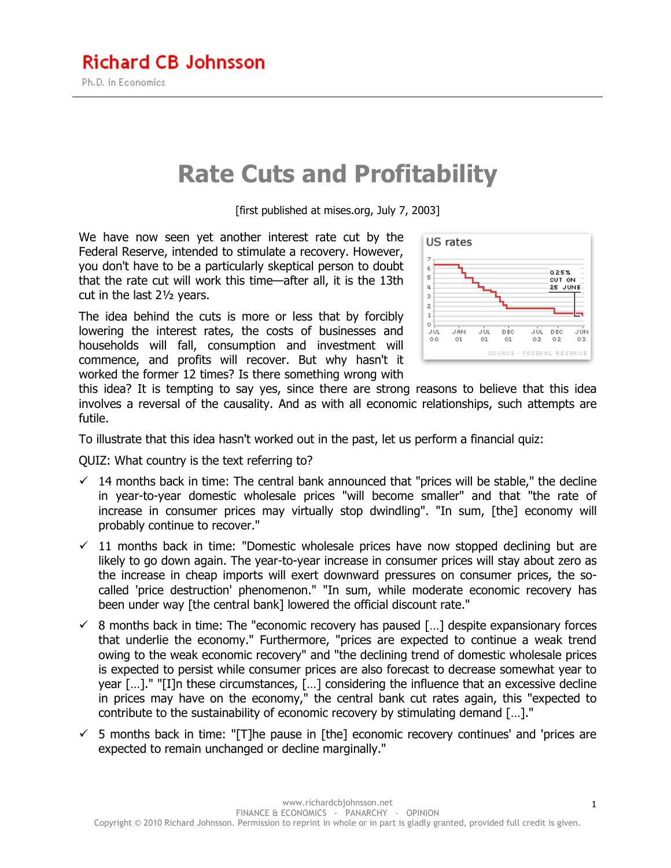## **Rate Cuts and Profitability**

[first published at mises.org, July 7, 2003]

We have now seen yet another interest rate cut by the Federal Reserve, intended to stimulate a recovery. However, you don't have to be a particularly skeptical person to doubt that the rate cut will work this time—after all, it is the 13th cut in the last 2½ years.

The idea behind the cuts is more or less that by forcibly lowering the interest rates, the costs of businesses and households will fall, consumption and investment will commence, and profits will recover. But why hasn't it worked the former 12 times? Is there something wrong with



this idea? It is tempting to say yes, since there are strong reasons to believe that this idea involves a reversal of the causality. And as with all economic relationships, such attempts are futile.

To illustrate that this idea hasn't worked out in the past, let us perform a financial quiz:

QUIZ: What country is the text referring to?

- $\checkmark$  14 months back in time: The central bank announced that "prices will be stable," the decline in year-to-year domestic wholesale prices "will become smaller" and that "the rate of increase in consumer prices may virtually stop dwindling". "In sum, [the] economy will probably continue to recover."
- $\checkmark$  11 months back in time: "Domestic wholesale prices have now stopped declining but are likely to go down again. The year-to-year increase in consumer prices will stay about zero as the increase in cheap imports will exert downward pressures on consumer prices, the socalled 'price destruction' phenomenon." "In sum, while moderate economic recovery has been under way [the central bank] lowered the official discount rate."
- $\checkmark$  8 months back in time: The "economic recovery has paused [...] despite expansionary forces that underlie the economy." Furthermore, "prices are expected to continue a weak trend owing to the weak economic recovery" and "the declining trend of domestic wholesale prices is expected to persist while consumer prices are also forecast to decrease somewhat year to year […]." "[I]n these circumstances, […] considering the influence that an excessive decline in prices may have on the economy," the central bank cut rates again, this "expected to contribute to the sustainability of economic recovery by stimulating demand […]."
- $\checkmark$  5 months back in time: "[T]he pause in [the] economic recovery continues' and 'prices are expected to remain unchanged or decline marginally."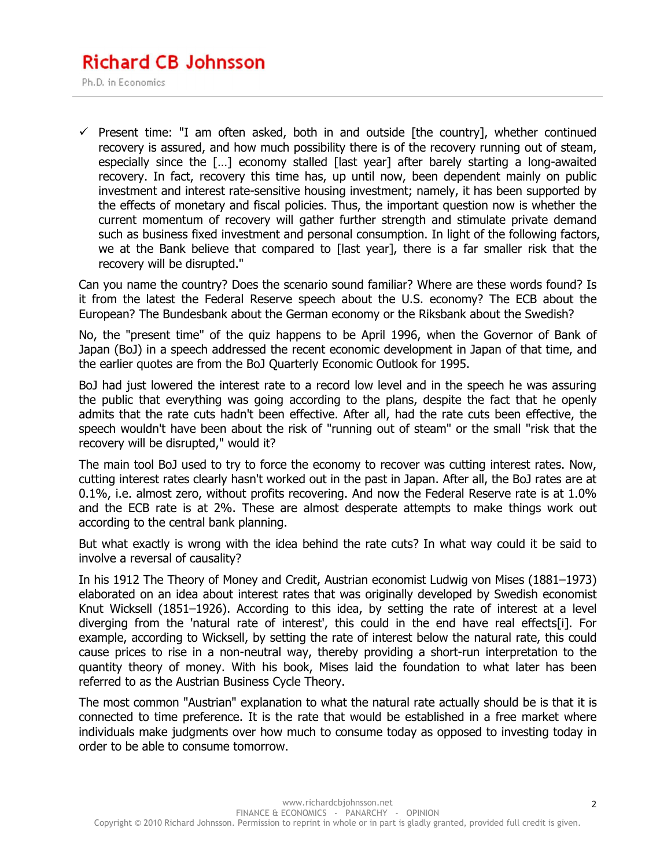## **Richard CB Johnsson**

Ph.D. in Economics

 $\checkmark$  Present time: "I am often asked, both in and outside [the country], whether continued recovery is assured, and how much possibility there is of the recovery running out of steam, especially since the […] economy stalled [last year] after barely starting a long-awaited recovery. In fact, recovery this time has, up until now, been dependent mainly on public investment and interest rate-sensitive housing investment; namely, it has been supported by the effects of monetary and fiscal policies. Thus, the important question now is whether the current momentum of recovery will gather further strength and stimulate private demand such as business fixed investment and personal consumption. In light of the following factors, we at the Bank believe that compared to [last year], there is a far smaller risk that the recovery will be disrupted."

Can you name the country? Does the scenario sound familiar? Where are these words found? Is it from the latest the Federal Reserve speech about the U.S. economy? The ECB about the European? The Bundesbank about the German economy or the Riksbank about the Swedish?

No, the "present time" of the quiz happens to be April 1996, when the Governor of Bank of Japan (BoJ) in a speech addressed the recent economic development in Japan of that time, and the earlier quotes are from the BoJ Quarterly Economic Outlook for 1995.

BoJ had just lowered the interest rate to a record low level and in the speech he was assuring the public that everything was going according to the plans, despite the fact that he openly admits that the rate cuts hadn't been effective. After all, had the rate cuts been effective, the speech wouldn't have been about the risk of "running out of steam" or the small "risk that the recovery will be disrupted," would it?

The main tool BoJ used to try to force the economy to recover was cutting interest rates. Now, cutting interest rates clearly hasn't worked out in the past in Japan. After all, the BoJ rates are at 0.1%, i.e. almost zero, without profits recovering. And now the Federal Reserve rate is at 1.0% and the ECB rate is at 2%. These are almost desperate attempts to make things work out according to the central bank planning.

But what exactly is wrong with the idea behind the rate cuts? In what way could it be said to involve a reversal of causality?

In his 1912 The Theory of Money and Credit, Austrian economist Ludwig von Mises (1881–1973) elaborated on an idea about interest rates that was originally developed by Swedish economist Knut Wicksell (1851–1926). According to this idea, by setting the rate of interest at a level diverging from the 'natural rate of interest', this could in the end have real effects[i]. For example, according to Wicksell, by setting the rate of interest below the natural rate, this could cause prices to rise in a non-neutral way, thereby providing a short-run interpretation to the quantity theory of money. With his book, Mises laid the foundation to what later has been referred to as the Austrian Business Cycle Theory.

The most common "Austrian" explanation to what the natural rate actually should be is that it is connected to time preference. It is the rate that would be established in a free market where individuals make judgments over how much to consume today as opposed to investing today in order to be able to consume tomorrow.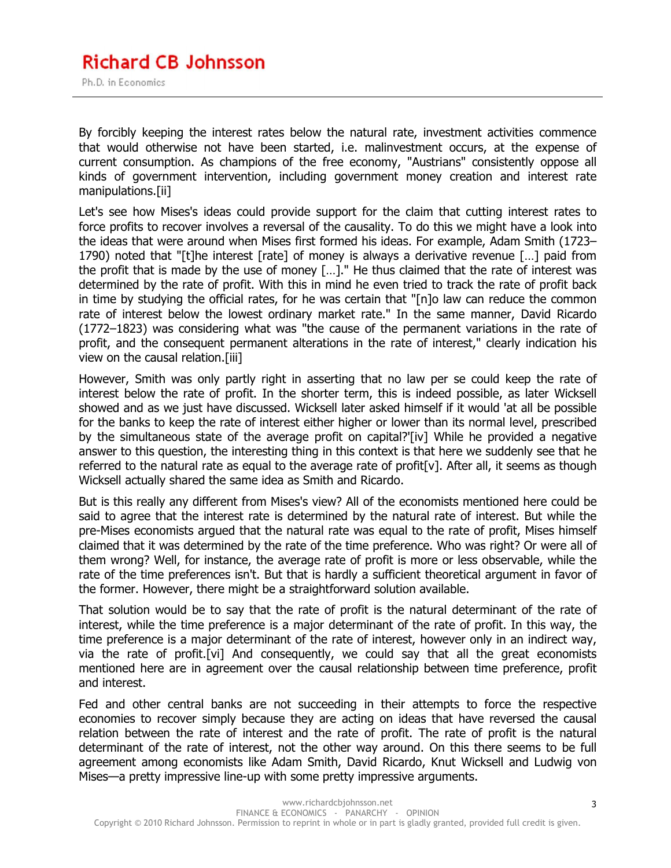By forcibly keeping the interest rates below the natural rate, investment activities commence that would otherwise not have been started, i.e. malinvestment occurs, at the expense of current consumption. As champions of the free economy, "Austrians" consistently oppose all kinds of government intervention, including government money creation and interest rate manipulations.[ii]

Let's see how Mises's ideas could provide support for the claim that cutting interest rates to force profits to recover involves a reversal of the causality. To do this we might have a look into the ideas that were around when Mises first formed his ideas. For example, Adam Smith (1723– 1790) noted that "[t]he interest [rate] of money is always a derivative revenue […] paid from the profit that is made by the use of money […]." He thus claimed that the rate of interest was determined by the rate of profit. With this in mind he even tried to track the rate of profit back in time by studying the official rates, for he was certain that "[n]o law can reduce the common rate of interest below the lowest ordinary market rate." In the same manner, David Ricardo (1772–1823) was considering what was "the cause of the permanent variations in the rate of profit, and the consequent permanent alterations in the rate of interest," clearly indication his view on the causal relation.[iii]

However, Smith was only partly right in asserting that no law per se could keep the rate of interest below the rate of profit. In the shorter term, this is indeed possible, as later Wicksell showed and as we just have discussed. Wicksell later asked himself if it would 'at all be possible for the banks to keep the rate of interest either higher or lower than its normal level, prescribed by the simultaneous state of the average profit on capital?'[iv] While he provided a negative answer to this question, the interesting thing in this context is that here we suddenly see that he referred to the natural rate as equal to the average rate of profit[v]. After all, it seems as though Wicksell actually shared the same idea as Smith and Ricardo.

But is this really any different from Mises's view? All of the economists mentioned here could be said to agree that the interest rate is determined by the natural rate of interest. But while the pre-Mises economists argued that the natural rate was equal to the rate of profit, Mises himself claimed that it was determined by the rate of the time preference. Who was right? Or were all of them wrong? Well, for instance, the average rate of profit is more or less observable, while the rate of the time preferences isn't. But that is hardly a sufficient theoretical argument in favor of the former. However, there might be a straightforward solution available.

That solution would be to say that the rate of profit is the natural determinant of the rate of interest, while the time preference is a major determinant of the rate of profit. In this way, the time preference is a major determinant of the rate of interest, however only in an indirect way, via the rate of profit.[vi] And consequently, we could say that all the great economists mentioned here are in agreement over the causal relationship between time preference, profit and interest.

Fed and other central banks are not succeeding in their attempts to force the respective economies to recover simply because they are acting on ideas that have reversed the causal relation between the rate of interest and the rate of profit. The rate of profit is the natural determinant of the rate of interest, not the other way around. On this there seems to be full agreement among economists like Adam Smith, David Ricardo, Knut Wicksell and Ludwig von Mises—a pretty impressive line-up with some pretty impressive arguments.